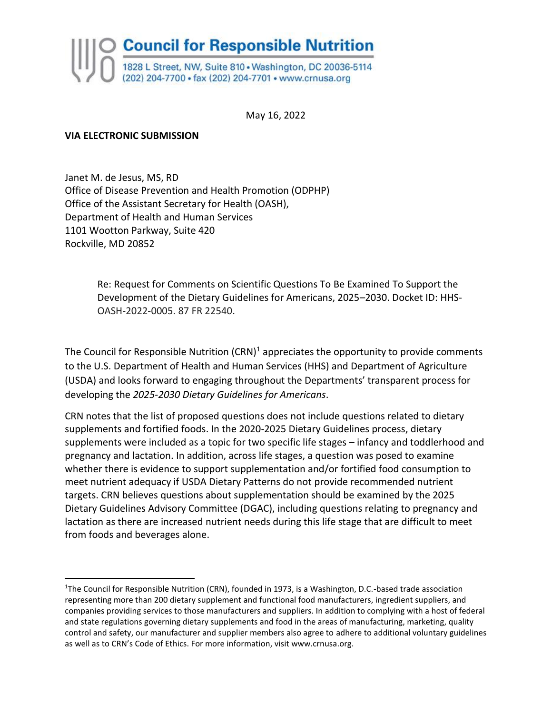

May 16, 2022

#### **VIA ELECTRONIC SUBMISSION**

Janet M. de Jesus, MS, RD Office of Disease Prevention and Health Promotion (ODPHP) Office of the Assistant Secretary for Health (OASH), Department of Health and Human Services 1101 Wootton Parkway, Suite 420 Rockville, MD 20852

> Re: Request for Comments on Scientific Questions To Be Examined To Support the Development of the Dietary Guidelines for Americans, 2025–2030. Docket ID: HHS-OASH-2022-0005. 87 FR 22540.

The Council for Responsible Nutrition  $(CRN)^1$  appreciates the opportunity to provide comments to the U.S. Department of Health and Human Services (HHS) and Department of Agriculture (USDA) and looks forward to engaging throughout the Departments' transparent process for developing the *2025-2030 Dietary Guidelines for Americans*.

CRN notes that the list of proposed questions does not include questions related to dietary supplements and fortified foods. In the 2020-2025 Dietary Guidelines process, dietary supplements were included as a topic for two specific life stages – infancy and toddlerhood and pregnancy and lactation. In addition, across life stages, a question was posed to examine whether there is evidence to support supplementation and/or fortified food consumption to meet nutrient adequacy if USDA Dietary Patterns do not provide recommended nutrient targets. CRN believes questions about supplementation should be examined by the 2025 Dietary Guidelines Advisory Committee (DGAC), including questions relating to pregnancy and lactation as there are increased nutrient needs during this life stage that are difficult to meet from foods and beverages alone.

<sup>1</sup>The Council for Responsible Nutrition (CRN), founded in 1973, is a Washington, D.C.-based trade association representing more than 200 dietary supplement and functional food manufacturers, ingredient suppliers, and companies providing services to those manufacturers and suppliers. In addition to complying with a host of federal and state regulations governing dietary supplements and food in the areas of manufacturing, marketing, quality control and safety, our manufacturer and supplier members also agree to adhere to additional voluntary guidelines as well as to CRN's Code of Ethics. For more information, visit www.crnusa.org.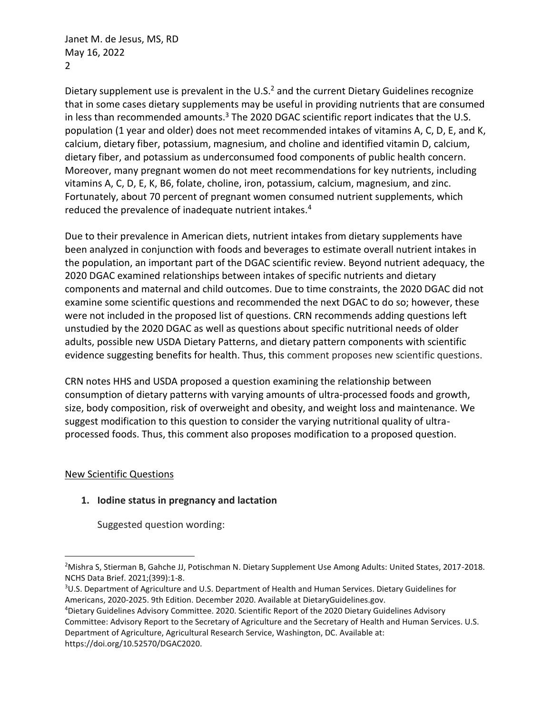Janet M. de Jesus, MS, RD May 16, 2022 2

Dietary supplement use is prevalent in the U.S.<sup>2</sup> and the current Dietary Guidelines recognize that in some cases dietary supplements may be useful in providing nutrients that are consumed in less than recommended amounts.<sup>3</sup> The 2020 DGAC scientific report indicates that the U.S. population (1 year and older) does not meet recommended intakes of vitamins A, C, D, E, and K, calcium, dietary fiber, potassium, magnesium, and choline and identified vitamin D, calcium, dietary fiber, and potassium as underconsumed food components of public health concern. Moreover, many pregnant women do not meet recommendations for key nutrients, including vitamins A, C, D, E, K, B6, folate, choline, iron, potassium, calcium, magnesium, and zinc. Fortunately, about 70 percent of pregnant women consumed nutrient supplements, which reduced the prevalence of inadequate nutrient intakes.<sup>4</sup>

Due to their prevalence in American diets, nutrient intakes from dietary supplements have been analyzed in conjunction with foods and beverages to estimate overall nutrient intakes in the population, an important part of the DGAC scientific review. Beyond nutrient adequacy, the 2020 DGAC examined relationships between intakes of specific nutrients and dietary components and maternal and child outcomes. Due to time constraints, the 2020 DGAC did not examine some scientific questions and recommended the next DGAC to do so; however, these were not included in the proposed list of questions. CRN recommends adding questions left unstudied by the 2020 DGAC as well as questions about specific nutritional needs of older adults, possible new USDA Dietary Patterns, and dietary pattern components with scientific evidence suggesting benefits for health. Thus, this comment proposes new scientific questions.

CRN notes HHS and USDA proposed a question examining the relationship between consumption of dietary patterns with varying amounts of ultra-processed foods and growth, size, body composition, risk of overweight and obesity, and weight loss and maintenance. We suggest modification to this question to consider the varying nutritional quality of ultraprocessed foods. Thus, this comment also proposes modification to a proposed question.

### New Scientific Questions

# **1. Iodine status in pregnancy and lactation**

Suggested question wording:

<sup>4</sup>Dietary Guidelines Advisory Committee. 2020. Scientific Report of the 2020 Dietary Guidelines Advisory Committee: Advisory Report to the Secretary of Agriculture and the Secretary of Health and Human Services. U.S. Department of Agriculture, Agricultural Research Service, Washington, DC. Available at: https://doi.org/10.52570/DGAC2020.

<sup>2</sup>Mishra S, Stierman B, Gahche JJ, Potischman N. Dietary Supplement Use Among Adults: United States, 2017-2018. NCHS Data Brief. 2021;(399):1-8.

<sup>3</sup>U.S. Department of Agriculture and U.S. Department of Health and Human Services. Dietary Guidelines for Americans, 2020-2025. 9th Edition. December 2020. Available at DietaryGuidelines.gov.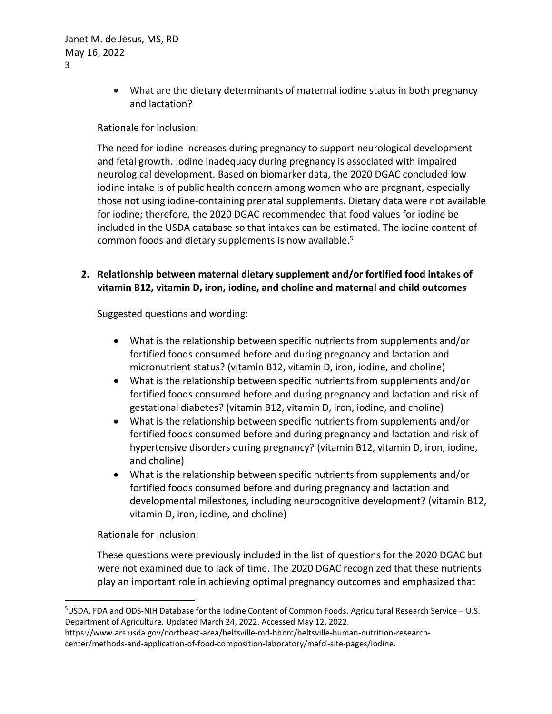• What are the dietary determinants of maternal iodine status in both pregnancy and lactation?

### Rationale for inclusion:

The need for iodine increases during pregnancy to support neurological development and fetal growth. Iodine inadequacy during pregnancy is associated with impaired neurological development. Based on biomarker data, the 2020 DGAC concluded low iodine intake is of public health concern among women who are pregnant, especially those not using iodine-containing prenatal supplements. Dietary data were not available for iodine; therefore, the 2020 DGAC recommended that food values for iodine be included in the USDA database so that intakes can be estimated. The iodine content of common foods and dietary supplements is now available.<sup>5</sup>

### **2. Relationship between maternal dietary supplement and/or fortified food intakes of vitamin B12, vitamin D, iron, iodine, and choline and maternal and child outcomes**

Suggested questions and wording:

- What is the relationship between specific nutrients from supplements and/or fortified foods consumed before and during pregnancy and lactation and micronutrient status? (vitamin B12, vitamin D, iron, iodine, and choline)
- What is the relationship between specific nutrients from supplements and/or fortified foods consumed before and during pregnancy and lactation and risk of gestational diabetes? (vitamin B12, vitamin D, iron, iodine, and choline)
- What is the relationship between specific nutrients from supplements and/or fortified foods consumed before and during pregnancy and lactation and risk of hypertensive disorders during pregnancy? (vitamin B12, vitamin D, iron, iodine, and choline)
- What is the relationship between specific nutrients from supplements and/or fortified foods consumed before and during pregnancy and lactation and developmental milestones, including neurocognitive development? (vitamin B12, vitamin D, iron, iodine, and choline)

Rationale for inclusion:

These questions were previously included in the list of questions for the 2020 DGAC but were not examined due to lack of time. The 2020 DGAC recognized that these nutrients play an important role in achieving optimal pregnancy outcomes and emphasized that

<sup>5</sup>USDA, FDA and ODS-NIH Database for the Iodine Content of Common Foods. Agricultural Research Service – U.S. Department of Agriculture. Updated March 24, 2022. Accessed May 12, 2022.

https://www.ars.usda.gov/northeast-area/beltsville-md-bhnrc/beltsville-human-nutrition-researchcenter/methods-and-application-of-food-composition-laboratory/mafcl-site-pages/iodine.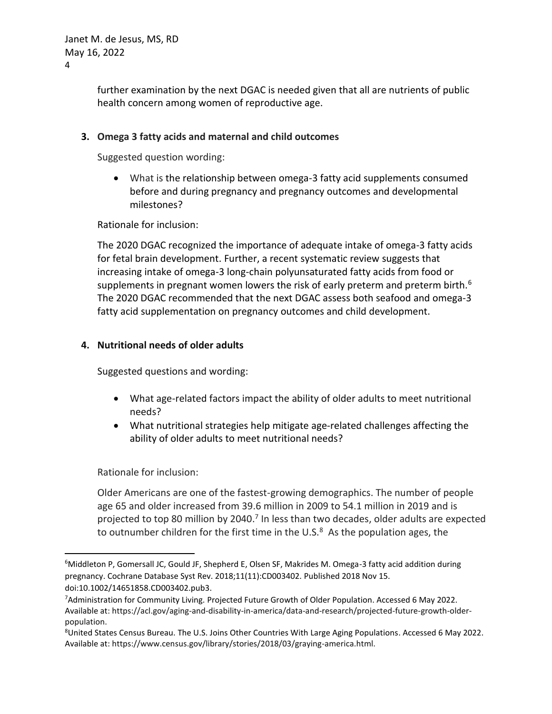further examination by the next DGAC is needed given that all are nutrients of public health concern among women of reproductive age.

# **3. Omega 3 fatty acids and maternal and child outcomes**

Suggested question wording:

• What is the relationship between omega-3 fatty acid supplements consumed before and during pregnancy and pregnancy outcomes and developmental milestones?

Rationale for inclusion:

The 2020 DGAC recognized the importance of adequate intake of omega-3 fatty acids for fetal brain development. Further, a recent systematic review suggests that increasing intake of omega-3 long-chain polyunsaturated fatty acids from food or supplements in pregnant women lowers the risk of early preterm and preterm birth. $6$ The 2020 DGAC recommended that the next DGAC assess both seafood and omega-3 fatty acid supplementation on pregnancy outcomes and child development.

# **4. Nutritional needs of older adults**

Suggested questions and wording:

- What age-related factors impact the ability of older adults to meet nutritional needs?
- What nutritional strategies help mitigate age-related challenges affecting the ability of older adults to meet nutritional needs?

Rationale for inclusion:

Older Americans are one of the fastest-growing demographics. The number of people age 65 and older increased from 39.6 million in 2009 to 54.1 million in 2019 and is projected to top 80 million by 2040.<sup>7</sup> In less than two decades, older adults are expected to outnumber children for the first time in the U.S. $8$  As the population ages, the

<sup>&</sup>lt;sup>6</sup>Middleton P, Gomersall JC, Gould JF, Shepherd E, Olsen SF, Makrides M. Omega-3 fatty acid addition during pregnancy. Cochrane Database Syst Rev. 2018;11(11):CD003402. Published 2018 Nov 15. doi:10.1002/14651858.CD003402.pub3.

<sup>7</sup>Administration for Community Living. Projected Future Growth of Older Population. Accessed 6 May 2022. Available at[: https://acl.gov/aging-and-disability-in-america/data-and-research/projected-future-growth-older](https://acl.gov/aging-and-disability-in-america/data-and-research/projected-future-growth-older-population)[population.](https://acl.gov/aging-and-disability-in-america/data-and-research/projected-future-growth-older-population)

<sup>8</sup>United States Census Bureau. The U.S. Joins Other Countries With Large Aging Populations. Accessed 6 May 2022. Available at[: https://www.census.gov/library/stories/2018/03/graying-america.html.](https://www.census.gov/library/stories/2018/03/graying-america.html)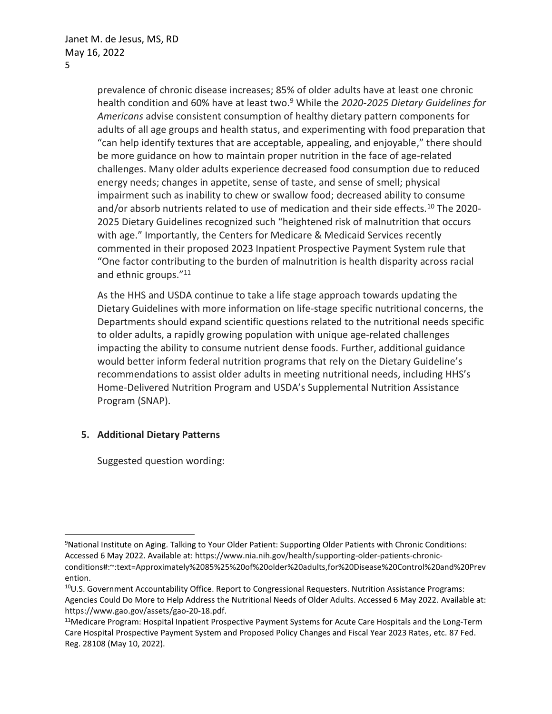prevalence of chronic disease increases; 85% of older adults have at least one chronic health condition and 60% have at least two.<sup>9</sup> While the *2020-2025 Dietary Guidelines for Americans* advise consistent consumption of healthy dietary pattern components for adults of all age groups and health status, and experimenting with food preparation that "can help identify textures that are acceptable, appealing, and enjoyable," there should be more guidance on how to maintain proper nutrition in the face of age-related challenges. Many older adults experience decreased food consumption due to reduced energy needs; changes in appetite, sense of taste, and sense of smell; physical impairment such as inability to chew or swallow food; decreased ability to consume and/or absorb nutrients related to use of medication and their side effects.<sup>10</sup> The 2020-2025 Dietary Guidelines recognized such "heightened risk of malnutrition that occurs with age." Importantly, the Centers for Medicare & Medicaid Services recently commented in their proposed 2023 Inpatient Prospective Payment System rule that "One factor contributing to the burden of malnutrition is health disparity across racial and ethnic groups."<sup>11</sup>

As the HHS and USDA continue to take a life stage approach towards updating the Dietary Guidelines with more information on life-stage specific nutritional concerns, the Departments should expand scientific questions related to the nutritional needs specific to older adults, a rapidly growing population with unique age-related challenges impacting the ability to consume nutrient dense foods. Further, additional guidance would better inform federal nutrition programs that rely on the Dietary Guideline's recommendations to assist older adults in meeting nutritional needs, including HHS's Home-Delivered Nutrition Program and USDA's Supplemental Nutrition Assistance Program (SNAP).

### **5. Additional Dietary Patterns**

Suggested question wording:

<sup>9</sup>National Institute on Aging. Talking to Your Older Patient: Supporting Older Patients with Chronic Conditions: Accessed 6 May 2022. Available at[: https://www.nia.nih.gov/health/supporting-older-patients-chronic](https://www.nia.nih.gov/health/supporting-older-patients-chronic-conditions#:~:text=Approximately%2085%25%20of%20older%20adults,for%20Disease%20Control%20and%20Prevention)[conditions#:~:text=Approximately%2085%25%20of%20older%20adults,for%20Disease%20Control%20and%20Prev](https://www.nia.nih.gov/health/supporting-older-patients-chronic-conditions#:~:text=Approximately%2085%25%20of%20older%20adults,for%20Disease%20Control%20and%20Prevention) [ention.](https://www.nia.nih.gov/health/supporting-older-patients-chronic-conditions#:~:text=Approximately%2085%25%20of%20older%20adults,for%20Disease%20Control%20and%20Prevention)

<sup>&</sup>lt;sup>10</sup>U.S. Government Accountability Office. Report to Congressional Requesters. Nutrition Assistance Programs: Agencies Could Do More to Help Address the Nutritional Needs of Older Adults. Accessed 6 May 2022. Available at: [https://www.gao.gov/assets/gao-20-18.pdf.](https://www.gao.gov/assets/gao-20-18.pdf)

<sup>11</sup>Medicare Program: Hospital Inpatient Prospective Payment Systems for Acute Care Hospitals and the Long-Term Care Hospital Prospective Payment System and Proposed Policy Changes and Fiscal Year 2023 Rates, etc. 87 Fed. Reg. 28108 (May 10, 2022).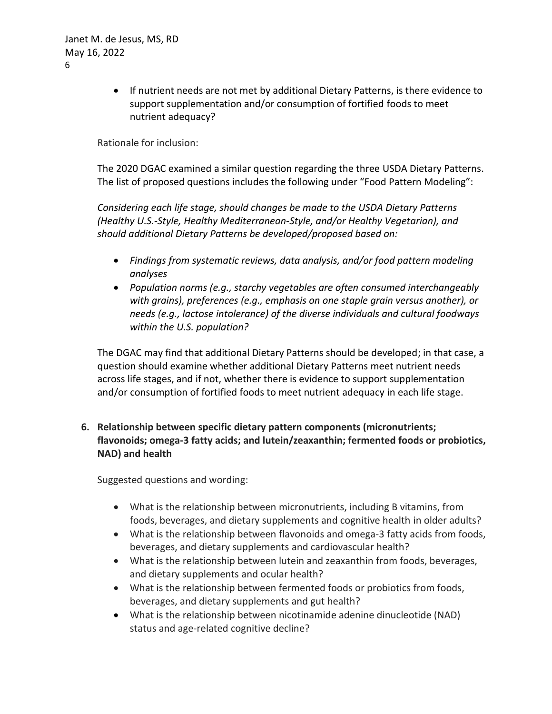Janet M. de Jesus, MS, RD May 16, 2022 6

> • If nutrient needs are not met by additional Dietary Patterns, is there evidence to support supplementation and/or consumption of fortified foods to meet nutrient adequacy?

### Rationale for inclusion:

The 2020 DGAC examined a similar question regarding the three USDA Dietary Patterns. The list of proposed questions includes the following under "Food Pattern Modeling":

*Considering each life stage, should changes be made to the USDA Dietary Patterns (Healthy U.S.-Style, Healthy Mediterranean-Style, and/or Healthy Vegetarian), and should additional Dietary Patterns be developed/proposed based on:*

- *Findings from systematic reviews, data analysis, and/or food pattern modeling analyses*
- *Population norms (e.g., starchy vegetables are often consumed interchangeably with grains), preferences (e.g., emphasis on one staple grain versus another), or needs (e.g., lactose intolerance) of the diverse individuals and cultural foodways within the U.S. population?*

The DGAC may find that additional Dietary Patterns should be developed; in that case, a question should examine whether additional Dietary Patterns meet nutrient needs across life stages, and if not, whether there is evidence to support supplementation and/or consumption of fortified foods to meet nutrient adequacy in each life stage.

**6. Relationship between specific dietary pattern components (micronutrients; flavonoids; omega-3 fatty acids; and lutein/zeaxanthin; fermented foods or probiotics, NAD) and health**

Suggested questions and wording:

- What is the relationship between micronutrients, including B vitamins, from foods, beverages, and dietary supplements and cognitive health in older adults?
- What is the relationship between flavonoids and omega-3 fatty acids from foods, beverages, and dietary supplements and cardiovascular health?
- What is the relationship between lutein and zeaxanthin from foods, beverages, and dietary supplements and ocular health?
- What is the relationship between fermented foods or probiotics from foods, beverages, and dietary supplements and gut health?
- What is the relationship between nicotinamide adenine dinucleotide (NAD) status and age-related cognitive decline?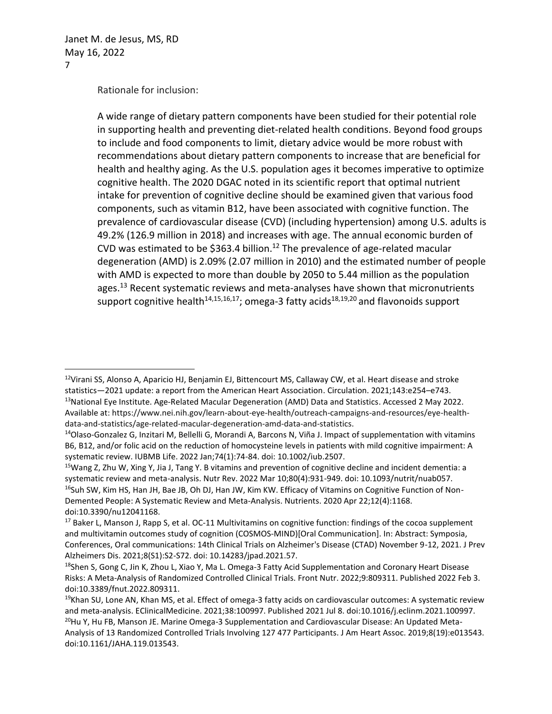Rationale for inclusion:

A wide range of dietary pattern components have been studied for their potential role in supporting health and preventing diet-related health conditions. Beyond food groups to include and food components to limit, dietary advice would be more robust with recommendations about dietary pattern components to increase that are beneficial for health and healthy aging. As the U.S. population ages it becomes imperative to optimize cognitive health. The 2020 DGAC noted in its scientific report that optimal nutrient intake for prevention of cognitive decline should be examined given that various food components, such as vitamin B12, have been associated with cognitive function. The prevalence of cardiovascular disease (CVD) (including hypertension) among U.S. adults is 49.2% (126.9 million in 2018) and increases with age. The annual economic burden of CVD was estimated to be \$363.4 billion.<sup>12</sup> The prevalence of age-related macular degeneration (AMD) is 2.09% (2.07 million in 2010) and the estimated number of people with AMD is expected to more than double by 2050 to 5.44 million as the population ages.<sup>13</sup> Recent systematic reviews and meta-analyses have shown that micronutrients support cognitive health<sup>14,15,16,17</sup>; omega-3 fatty acids<sup>18,19,20</sup> and flavonoids support

<sup>&</sup>lt;sup>12</sup>Virani SS, Alonso A, Aparicio HJ, Benjamin EJ, Bittencourt MS, Callaway CW, et al. Heart disease and stroke statistics—2021 update: a report from the American Heart Association. Circulation. 2021;143:e254–e743. 13National Eye Institute. Age-Related Macular Degeneration (AMD) Data and Statistics. Accessed 2 May 2022. Available at[: https://www.nei.nih.gov/learn-about-eye-health/outreach-campaigns-and-resources/eye-health](https://www.nei.nih.gov/learn-about-eye-health/outreach-campaigns-and-resources/eye-health-data-and-statistics/age-related-macular-degeneration-amd-data-and-statistics)[data-and-statistics/age-related-macular-degeneration-amd-data-and-statistics.](https://www.nei.nih.gov/learn-about-eye-health/outreach-campaigns-and-resources/eye-health-data-and-statistics/age-related-macular-degeneration-amd-data-and-statistics)

<sup>&</sup>lt;sup>14</sup>Olaso-Gonzalez G, Inzitari M, Bellelli G, Morandi A, Barcons N, Viña J. Impact of supplementation with vitamins B6, B12, and/or folic acid on the reduction of homocysteine levels in patients with mild cognitive impairment: A systematic review. IUBMB Life. 2022 Jan;74(1):74-84. doi: 10.1002/iub.2507.

<sup>15</sup>Wang Z, Zhu W, Xing Y, Jia J, Tang Y. B vitamins and prevention of cognitive decline and incident dementia: a systematic review and meta-analysis. Nutr Rev. 2022 Mar 10;80(4):931-949. doi: 10.1093/nutrit/nuab057. <sup>16</sup>Suh SW, Kim HS, Han JH, Bae JB, Oh DJ, Han JW, Kim KW. Efficacy of Vitamins on Cognitive Function of Non-Demented People: A Systematic Review and Meta-Analysis. Nutrients. 2020 Apr 22;12(4):1168. doi:10.3390/nu12041168.

<sup>&</sup>lt;sup>17</sup> Baker L, Manson J, Rapp S, et al. OC-11 Multivitamins on cognitive function: findings of the cocoa supplement and multivitamin outcomes study of cognition (COSMOS-MIND)[Oral Communication]. In: Abstract: Symposia, Conferences, Oral communications: 14th Clinical Trials on Alzheimer's Disease (CTAD) November 9-12, 2021. J Prev Alzheimers Dis. 2021;8(S1):S2-S72. doi: 10.14283/jpad.2021.57.

<sup>&</sup>lt;sup>18</sup>Shen S, Gong C, Jin K, Zhou L, Xiao Y, Ma L. Omega-3 Fatty Acid Supplementation and Coronary Heart Disease Risks: A Meta-Analysis of Randomized Controlled Clinical Trials. Front Nutr. 2022;9:809311. Published 2022 Feb 3. doi:10.3389/fnut.2022.809311.

 $19$ Khan SU, Lone AN, Khan MS, et al. Effect of omega-3 fatty acids on cardiovascular outcomes: A systematic review and meta-analysis. EClinicalMedicine. 2021;38:100997. Published 2021 Jul 8. doi:10.1016/j.eclinm.2021.100997. <sup>20</sup>Hu Y, Hu FB, Manson JE. Marine Omega-3 Supplementation and Cardiovascular Disease: An Updated Meta-Analysis of 13 Randomized Controlled Trials Involving 127 477 Participants. J Am Heart Assoc. 2019;8(19):e013543. doi:10.1161/JAHA.119.013543.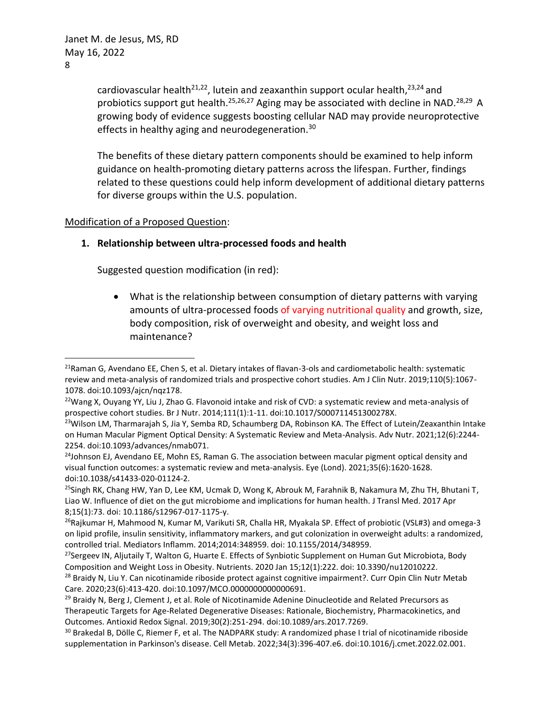cardiovascular health<sup>21,22</sup>, lutein and zeaxanthin support ocular health,<sup>23,24</sup> and probiotics support gut health.<sup>25,26,27</sup> Aging may be associated with decline in NAD.<sup>28,29</sup> A growing body of evidence suggests boosting cellular NAD may provide neuroprotective effects in healthy aging and neurodegeneration.<sup>30</sup>

The benefits of these dietary pattern components should be examined to help inform guidance on health-promoting dietary patterns across the lifespan. Further, findings related to these questions could help inform development of additional dietary patterns for diverse groups within the U.S. population.

### Modification of a Proposed Question:

### **1. Relationship between ultra-processed foods and health**

Suggested question modification (in red):

• What is the relationship between consumption of dietary patterns with varying amounts of ultra-processed foods of varying nutritional quality and growth, size, body composition, risk of overweight and obesity, and weight loss and maintenance?

<sup>&</sup>lt;sup>21</sup>Raman G, Avendano EE, Chen S, et al. Dietary intakes of flavan-3-ols and cardiometabolic health: systematic review and meta-analysis of randomized trials and prospective cohort studies. Am J Clin Nutr. 2019;110(5):1067- 1078. doi:10.1093/ajcn/nqz178.

<sup>&</sup>lt;sup>22</sup>Wang X, Ouyang YY, Liu J, Zhao G. Flavonoid intake and risk of CVD: a systematic review and meta-analysis of prospective cohort studies. Br J Nutr. 2014;111(1):1-11. doi:10.1017/S000711451300278X.

<sup>&</sup>lt;sup>23</sup>Wilson LM, Tharmarajah S, Jia Y, Semba RD, Schaumberg DA, Robinson KA. The Effect of Lutein/Zeaxanthin Intake on Human Macular Pigment Optical Density: A Systematic Review and Meta-Analysis. Adv Nutr. 2021;12(6):2244- 2254. doi:10.1093/advances/nmab071.

 $24$ Johnson EJ, Avendano EE, Mohn ES, Raman G. The association between macular pigment optical density and visual function outcomes: a systematic review and meta-analysis. Eye (Lond). 2021;35(6):1620-1628. doi:10.1038/s41433-020-01124-2.

<sup>&</sup>lt;sup>25</sup>Singh RK, Chang HW, Yan D, Lee KM, Ucmak D, Wong K, Abrouk M, Farahnik B, Nakamura M, Zhu TH, Bhutani T, Liao W. Influence of diet on the gut microbiome and implications for human health. J Transl Med. 2017 Apr 8;15(1):73. doi: 10.1186/s12967-017-1175-y.

<sup>&</sup>lt;sup>26</sup>Rajkumar H, Mahmood N, Kumar M, Varikuti SR, Challa HR, Myakala SP. Effect of probiotic (VSL#3) and omega-3 on lipid profile, insulin sensitivity, inflammatory markers, and gut colonization in overweight adults: a randomized, controlled trial. Mediators Inflamm. 2014;2014:348959. doi: 10.1155/2014/348959.

<sup>&</sup>lt;sup>27</sup>Sergeev IN, Aljutaily T, Walton G, Huarte E. Effects of Synbiotic Supplement on Human Gut Microbiota, Body Composition and Weight Loss in Obesity. Nutrients. 2020 Jan 15;12(1):222. doi: 10.3390/nu12010222.

<sup>&</sup>lt;sup>28</sup> Braidy N, Liu Y. Can nicotinamide riboside protect against cognitive impairment?. Curr Opin Clin Nutr Metab Care. 2020;23(6):413-420. doi:10.1097/MCO.0000000000000691.

<sup>&</sup>lt;sup>29</sup> Braidy N, Berg J, Clement J, et al. Role of Nicotinamide Adenine Dinucleotide and Related Precursors as Therapeutic Targets for Age-Related Degenerative Diseases: Rationale, Biochemistry, Pharmacokinetics, and Outcomes. Antioxid Redox Signal. 2019;30(2):251-294. doi:10.1089/ars.2017.7269.

<sup>&</sup>lt;sup>30</sup> Brakedal B, Dölle C, Riemer F, et al. The NADPARK study: A randomized phase I trial of nicotinamide riboside supplementation in Parkinson's disease. Cell Metab. 2022;34(3):396-407.e6. doi:10.1016/j.cmet.2022.02.001.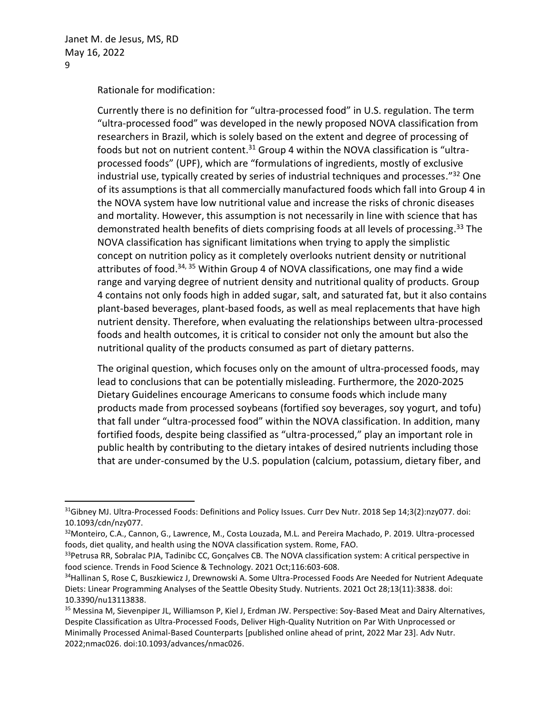Rationale for modification:

Currently there is no definition for "ultra-processed food" in U.S. regulation. The term "ultra-processed food" was developed in the newly proposed NOVA classification from researchers in Brazil, which is solely based on the extent and degree of processing of foods but not on nutrient content.<sup>31</sup> Group 4 within the NOVA classification is "ultraprocessed foods" (UPF), which are "formulations of ingredients, mostly of exclusive industrial use, typically created by series of industrial techniques and processes." <sup>32</sup> One of its assumptions is that all commercially manufactured foods which fall into Group 4 in the NOVA system have low nutritional value and increase the risks of chronic diseases and mortality. However, this assumption is not necessarily in line with science that has demonstrated health benefits of diets comprising foods at all levels of processing. <sup>33</sup> The NOVA classification has significant limitations when trying to apply the simplistic concept on nutrition policy as it completely overlooks nutrient density or nutritional attributes of food.<sup>34, 35</sup> Within Group 4 of NOVA classifications, one may find a wide range and varying degree of nutrient density and nutritional quality of products. Group 4 contains not only foods high in added sugar, salt, and saturated fat, but it also contains plant-based beverages, plant-based foods, as well as meal replacements that have high nutrient density. Therefore, when evaluating the relationships between ultra-processed foods and health outcomes, it is critical to consider not only the amount but also the nutritional quality of the products consumed as part of dietary patterns.

The original question, which focuses only on the amount of ultra-processed foods, may lead to conclusions that can be potentially misleading. Furthermore, the 2020-2025 Dietary Guidelines encourage Americans to consume foods which include many products made from processed soybeans (fortified soy beverages, soy yogurt, and tofu) that fall under "ultra-processed food" within the NOVA classification. In addition, many fortified foods, despite being classified as "ultra-processed," play an important role in public health by contributing to the dietary intakes of desired nutrients including those that are under-consumed by the U.S. population (calcium, potassium, dietary fiber, and

 $31$ Gibney MJ. Ultra-Processed Foods: Definitions and Policy Issues. Curr Dev Nutr. 2018 Sep 14;3(2):nzy077. doi: 10.1093/cdn/nzy077.

<sup>32</sup>Monteiro, C.A., Cannon, G., Lawrence, M., Costa Louzada, M.L. and Pereira Machado, P. 2019. Ultra-processed foods, diet quality, and health using the NOVA classification system. Rome, FAO.

<sup>&</sup>lt;sup>33</sup>Petrusa RR, Sobralac PJA, Tadinibc CC, Gonçalves CB. The NOVA classification system: A critical perspective in food science. Trends in Food Science & Technology. 2021 Oct;116:603-608.

<sup>&</sup>lt;sup>34</sup>Hallinan S, Rose C, Buszkiewicz J, Drewnowski A. Some Ultra-Processed Foods Are Needed for Nutrient Adequate Diets: Linear Programming Analyses of the Seattle Obesity Study. Nutrients. 2021 Oct 28;13(11):3838. doi: 10.3390/nu13113838.

<sup>35</sup> Messina M, Sievenpiper JL, Williamson P, Kiel J, Erdman JW. Perspective: Soy-Based Meat and Dairy Alternatives, Despite Classification as Ultra-Processed Foods, Deliver High-Quality Nutrition on Par With Unprocessed or Minimally Processed Animal-Based Counterparts [published online ahead of print, 2022 Mar 23]. Adv Nutr. 2022;nmac026. doi:10.1093/advances/nmac026.